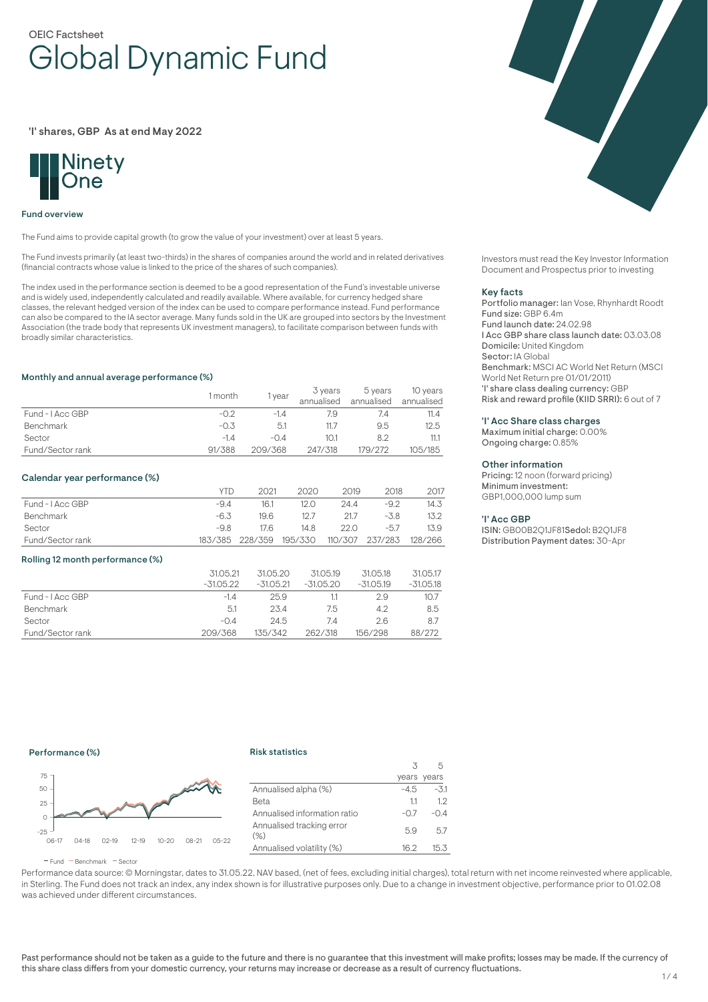# OEIC Factsheet Global Dynamic Fund

'I' shares, GBP As at end May 2022



### Fund overview

The Fund aims to provide capital growth (to grow the value of your investment) over at least 5 years.

The Fund invests primarily (at least two-thirds) in the shares of companies around the world and in related derivatives (financial contracts whose value is linked to the price of the shares of such companies).

The index used in the performance section is deemed to be a good representation of the Fund's investable universe and is widely used, independently calculated and readily available. Where available, for currency hedged share classes, the relevant hedged version of the index can be used to compare performance instead. Fund performance can also be compared to the IA sector average. Many funds sold in the UK are grouped into sectors by the Investment Association (the trade body that represents UK investment managers), to facilitate comparison between funds with broadly similar characteristics.

### Monthly and annual average performance (%)

|                  | l month | year    | 3 years<br>annualised | 5 years<br>annualised | 10 years<br>annualised |
|------------------|---------|---------|-----------------------|-----------------------|------------------------|
| Fund - I Acc GBP | $-0.2$  | -14     | 7.9                   |                       | 11.4                   |
| <b>Benchmark</b> | $-0.3$  | 5.1     | 11.7                  | 9.5                   | 12.5                   |
| Sector           | $-1.4$  | $-0.4$  | 10.1                  | 82                    | 11.1                   |
| Fund/Sector rank | 91/388  | 209/368 | 247/318               | 179/272               | 105/185                |

#### Calendar year performance (%)

|                  | <b>YTD</b> | 2021            | 2020    | 2019 | 2018                    | 2017 |
|------------------|------------|-----------------|---------|------|-------------------------|------|
| Fund - I Acc GBP | $-9.4$     | 16.1            | 12 O    | 24.4 | $-9.2$                  | 14.3 |
| Benchmark        | -6.3       | 196             | 12.7    | 21.7 | $-3.8$                  | 13.2 |
| Sector           | -9.8       | 176             | 14.8    | 22.O | $-57$                   | 13.9 |
| Fund/Sector rank |            | 183/385 228/359 | 195/330 |      | 110/307 237/283 128/266 |      |

#### Rolling 12 month performance (%)

|                  | 31.05.21<br>$-31.05.22$ | 31.05.20<br>$-31.05.21$ | 31.05.19<br>$-31.05.20$ | 31.05.18<br>$-31.05.19$ | 31.05.17<br>-31.05.18 |
|------------------|-------------------------|-------------------------|-------------------------|-------------------------|-----------------------|
| Fund - LAcc GBP  | $-14$                   | 25.9                    |                         | 2.9                     | 10.7                  |
| <b>Benchmark</b> | 5.1                     | 23.4                    | 7.5                     | 4.2                     | 8.5                   |
| Sector           | $-0.4$                  | 24.5                    | 74                      | 26                      | 8.7                   |
| Fund/Sector rank | 209/368                 | 135/342                 | 262/318                 | 156/298                 | 88/272                |



Investors must read the Key Investor Information Document and Prospectus prior to investing

#### Key facts

Portfolio manager: Ian Vose, Rhynhardt Roodt Fund size: GBP 6.4m Fund launch date: 24.02.98 I Acc GBP share class launch date: 03.03.08 Domicile: United Kingdom Sector: IA Global Benchmark: MSCI AC World Net Return (MSCI World Net Return pre 01/01/2011) 'I' share class dealing currency: GBP Risk and reward profile (KIID SRRI): 6 out of 7

### 'I' Acc Share class charges

Maximum initial charge: 0.00% Ongoing charge: 0.85%

### Other information

Pricing: 12 noon (forward pricing) Minimum investment: GBP1,000,000 lump sum

### 'I' Acc GBP

ISIN: GB00B2Q1JF81Sedol: B2Q1JF8 Distribution Payment dates: 30-Apr

### Performance (%)

### Risk statistics



|                                   | 3      |             |
|-----------------------------------|--------|-------------|
|                                   |        | years years |
| Annualised alpha (%)              | -4.5   | $-3.1$      |
| Beta                              | 11     | 1.2         |
| Annualised information ratio      | $-0.7$ | $-0.4$      |
| Annualised tracking error<br>(% ) | 5.9    | 57          |
| Annualised volatility (%)         | 16.2   | 15.3        |
|                                   |        |             |

 $F$ und  $B$ Benchmark  $F$ Sector

Performance data source: © Morningstar, dates to 31.05.22, NAV based, (net of fees, excluding initial charges), total return with net income reinvested where applicable, in Sterling. The Fund does not track an index, any index shown is for illustrative purposes only. Due to a change in investment objective, performance prior to 01.02.08 was achieved under different circumstances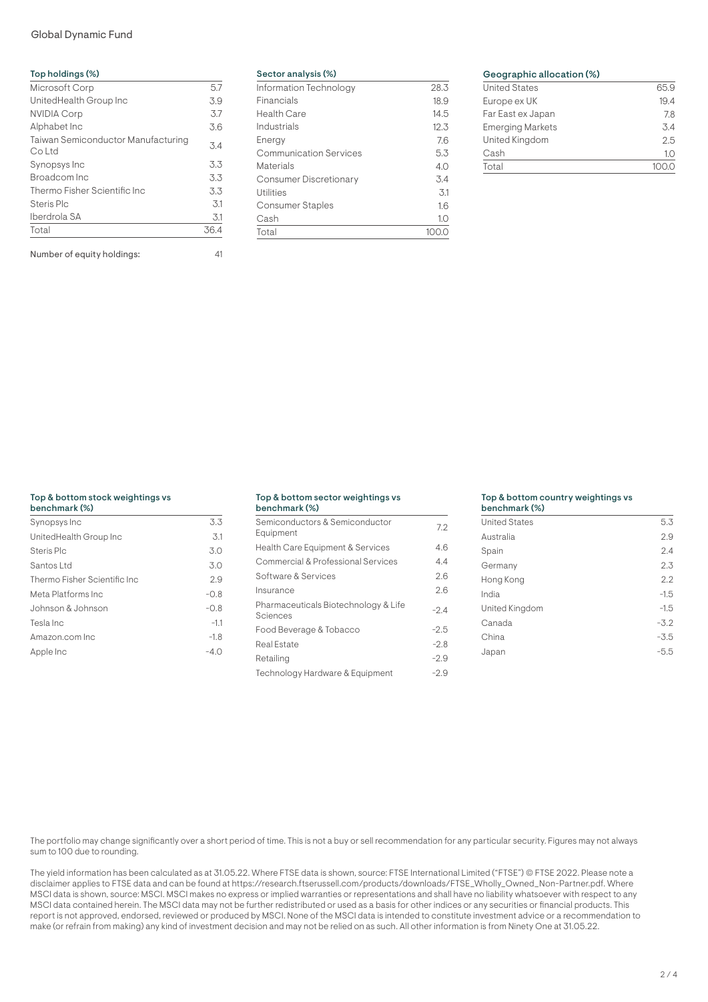# Global Dynamic Fund

| Top holdings (%)                                    |      |
|-----------------------------------------------------|------|
| Microsoft Corp                                      | 5.7  |
| UnitedHealth Group Inc                              | 3.9  |
| <b>NVIDIA Corp</b>                                  | 3.7  |
| Alphabet Inc                                        | 3.6  |
| <b>Taiwan Semiconductor Manufacturing</b><br>Co Ltd | 3.4  |
| Synopsys Inc                                        | 3.3  |
| Broadcom Inc                                        | 3.3  |
| Thermo Fisher Scientific Inc                        | 3.3  |
| Steris Plc                                          | 3.1  |
| Iberdrola SA                                        | 3.1  |
| Total                                               | 36.4 |
| Number of equity holdings:                          | 41   |

| Sector analysis (%)           |        |
|-------------------------------|--------|
| Information Technology        | 28.3   |
| Financials                    | 18.9   |
| Health Care                   | 14.5   |
| Industrials                   | 12.3   |
| Energy                        | 7.6    |
| <b>Communication Services</b> | 5.3    |
| Materials                     | 4.0    |
| <b>Consumer Discretionary</b> | 3.4    |
| Utilities                     | $-3.1$ |
| <b>Consumer Staples</b>       | 16     |
| Cash                          | 1.0    |
| Total                         |        |

# Geographic allocation (%)

| <b>United States</b>    | 65.9             |
|-------------------------|------------------|
| Europe ex UK            | 19.4             |
| Far East ex Japan       | 7.8              |
| <b>Emerging Markets</b> | $\overline{5.4}$ |
| United Kingdom          | 2.5              |
| Cash                    | 1.0              |
| Total                   |                  |
|                         |                  |

# Top & bottom stock weightings vs

| benchmark (%)                |        |
|------------------------------|--------|
| Synopsys Inc                 | 3.3    |
| UnitedHealth Group Inc       | 3.1    |
| Steris Plc                   | 3.0    |
| Santos Ltd                   | 3.0    |
| Thermo Fisher Scientific Inc | 2.9    |
| Meta Platforms Inc           | $-0.8$ |
| Johnson & Johnson            | $-0.8$ |
| Tesla Inc                    | $-1.1$ |
| Amazon.com Inc               | $-1.8$ |
| Apple Inc                    | $-4.0$ |
|                              |        |

#### Top & bottom sector weightings vs benchmark (%)

| 991191111101 N 1797                              |        |
|--------------------------------------------------|--------|
| Semiconductors & Semiconductor<br>Equipment      | 7.2    |
| Health Care Equipment & Services                 | 4.6    |
| Commercial & Professional Services               | 4.4    |
| Software & Services                              | 2.6    |
| Insurance                                        | 2.6    |
| Pharmaceuticals Biotechnology & Life<br>Sciences | $-2.4$ |
| Food Beverage & Tobacco                          | $-2.5$ |
| Real Estate                                      | $-2.8$ |
| Retailing                                        | $-2.9$ |
| Technology Hardware & Equipment                  | $-2.9$ |

### Top & bottom country weightings vs

| <b>United States</b> | 5.3    |
|----------------------|--------|
| Australia            | 2.9    |
| Spain                | 2.4    |
| Germany              | 2.3    |
| Hong Kong            | 2.2    |
| India                | $-1.5$ |
| United Kingdom       | $-1.5$ |
| Canada               | $-3.2$ |
| China                | $-3.5$ |
| Japan                | $-5.5$ |

The portfolio may change significantly over a short period of time. This is not a buy or sell recommendation for any particular security. Figures may not always sum to 100 due to rounding.

The yield information has been calculated as at 31.05.22. Where FTSE data is shown, source: FTSE International Limited ("FTSE") © FTSE 2022. Please note a disclaimer applies to FTSE data and can be found at https://research.ftserussell.com/products/downloads/FTSE\_Wholly\_Owned\_Non-Partner.pdf. Where MSCI data is shown, source: MSCI. MSCI makes no express or implied warranties or representations and shall have no liability whatsoever with respect to any MSCI data contained herein. The MSCI data may not be further redistributed or used as a basis for other indices or any securities or financial products. This report is not approved, endorsed, reviewed or produced by MSCI. None of the MSCI data is intended to constitute investment advice or a recommendation to make (or refrain from making) any kind of investment decision and may not be relied on as such. All other information is from Ninety One at 31.05.22.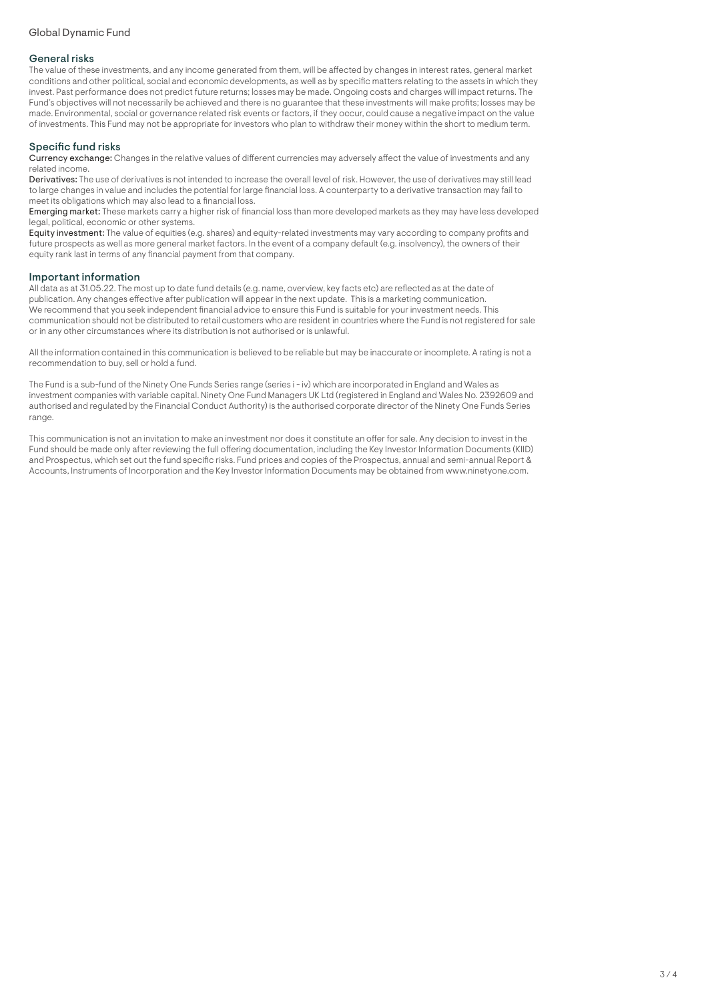# General risks

The value of these investments, and any income generated from them, will be affected by changes in interest rates, general market conditions and other political, social and economic developments, as well as by specific matters relating to the assets in which they invest. Past performance does not predict future returns; losses may be made. Ongoing costs and charges will impact returns. The Fund's objectives will not necessarily be achieved and there is no guarantee that these investments will make profits; losses may be made. Environmental, social or governance related risk events or factors, if they occur, could cause a negative impact on the value of investments. This Fund may not be appropriate for investors who plan to withdraw their money within the short to medium term.

# Specific fund risks

Currency exchange: Changes in the relative values of different currencies may adversely affect the value of investments and any related income.

Derivatives: The use of derivatives is not intended to increase the overall level of risk. However, the use of derivatives may still lead to large changes in value and includes the potential for large financial loss. A counterparty to a derivative transaction may fail to meet its obligations which may also lead to a financial loss.

Emerging market: These markets carry a higher risk of financial loss than more developed markets as they may have less developed legal, political, economic or other systems.

Equity investment: The value of equities (e.g. shares) and equity-related investments may vary according to company profits and future prospects as well as more general market factors. In the event of a company default (e.g. insolvency), the owners of their equity rank last in terms of any financial payment from that company.

# Important information

All data as at 31.05.22. The most up to date fund details (e.g. name, overview, key facts etc) are reflected as at the date of publication. Any changes effective after publication will appear in the next update. This is a marketing communication. We recommend that you seek independent financial advice to ensure this Fund is suitable for your investment needs. This communication should not be distributed to retail customers who are resident in countries where the Fund is not registered for sale or in any other circumstances where its distribution is not authorised or is unlawful.

All the information contained in this communication is believed to be reliable but may be inaccurate or incomplete. A rating is not a recommendation to buy, sell or hold a fund.

The Fund is a sub-fund of the Ninety One Funds Series range (series i - iv) which are incorporated in England and Wales as investment companies with variable capital. Ninety One Fund Managers UK Ltd (registered in England and Wales No. 2392609 and authorised and regulated by the Financial Conduct Authority) is the authorised corporate director of the Ninety One Funds Series range.

This communication is not an invitation to make an investment nor does it constitute an offer for sale. Any decision to invest in the Fund should be made only after reviewing the full offering documentation, including the Key Investor Information Documents (KIID) and Prospectus, which set out the fund specific risks. Fund prices and copies of the Prospectus, annual and semi-annual Report & Accounts, Instruments of Incorporation and the Key Investor Information Documents may be obtained from www.ninetyone.com.